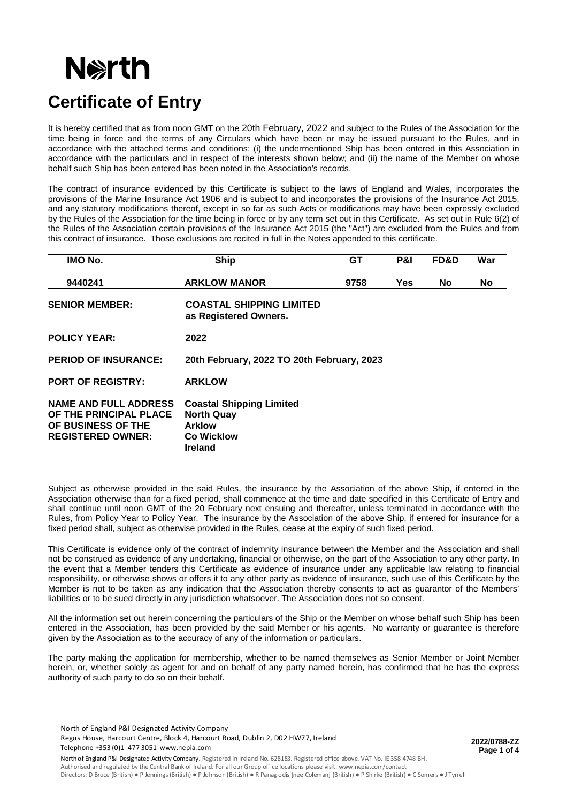# **Nexth**

## **Certificate of Entry**

It is hereby certified that as from noon GMT on the 20th February, 2022 and subject to the Rules of the Association for the time being in force and the terms of any Circulars which have been or may be issued pursuant to the Rules, and in accordance with the attached terms and conditions: (i) the undermentioned Ship has been entered in this Association in accordance with the particulars and in respect of the interests shown below; and (ii) the name of the Member on whose behalf such Ship has been entered has been noted in the Association's records.

The contract of insurance evidenced by this Certificate is subject to the laws of England and Wales, incorporates the provisions of the Marine Insurance Act 1906 and is subject to and incorporates the provisions of the Insurance Act 2015, and any statutory modifications thereof, except in so far as such Acts or modifications may have been expressly excluded by the Rules of the Association for the time being in force or by any term set out in this Certificate. As set out in Rule 6(2) of the Rules of the Association certain provisions of the Insurance Act 2015 (the "Act") are excluded from the Rules and from this contract of insurance. Those exclusions are recited in full in the Notes appended to this certificate.

| IMO No.                                                                                                  |  | <b>Ship</b>                                                                                                  | GT   | P&I | FD&D | War       |  |
|----------------------------------------------------------------------------------------------------------|--|--------------------------------------------------------------------------------------------------------------|------|-----|------|-----------|--|
| 9440241                                                                                                  |  | <b>ARKLOW MANOR</b>                                                                                          | 9758 | Yes | No.  | <b>No</b> |  |
| <b>SENIOR MEMBER:</b>                                                                                    |  | <b>COASTAL SHIPPING LIMITED</b><br>as Registered Owners.                                                     |      |     |      |           |  |
| <b>POLICY YEAR:</b>                                                                                      |  | 2022                                                                                                         |      |     |      |           |  |
| <b>PERIOD OF INSURANCE:</b>                                                                              |  | 20th February, 2022 TO 20th February, 2023                                                                   |      |     |      |           |  |
| <b>PORT OF REGISTRY:</b>                                                                                 |  | <b>ARKLOW</b>                                                                                                |      |     |      |           |  |
| <b>NAME AND FULL ADDRESS</b><br>OF THE PRINCIPAL PLACE<br>OF BUSINESS OF THE<br><b>REGISTERED OWNER:</b> |  | <b>Coastal Shipping Limited</b><br><b>North Quay</b><br><b>Arklow</b><br><b>Co Wicklow</b><br><b>Ireland</b> |      |     |      |           |  |

Subject as otherwise provided in the said Rules, the insurance by the Association of the above Ship, if entered in the Association otherwise than for a fixed period, shall commence at the time and date specified in this Certificate of Entry and shall continue until noon GMT of the 20 February next ensuing and thereafter, unless terminated in accordance with the Rules, from Policy Year to Policy Year. The insurance by the Association of the above Ship, if entered for insurance for a fixed period shall, subject as otherwise provided in the Rules, cease at the expiry of such fixed period.

This Certificate is evidence only of the contract of indemnity insurance between the Member and the Association and shall not be construed as evidence of any undertaking, financial or otherwise, on the part of the Association to any other party. In the event that a Member tenders this Certificate as evidence of insurance under any applicable law relating to financial responsibility, or otherwise shows or offers it to any other party as evidence of insurance, such use of this Certificate by the Member is not to be taken as any indication that the Association thereby consents to act as guarantor of the Members' liabilities or to be sued directly in any jurisdiction whatsoever. The Association does not so consent.

All the information set out herein concerning the particulars of the Ship or the Member on whose behalf such Ship has been entered in the Association, has been provided by the said Member or his agents. No warranty or guarantee is therefore given by the Association as to the accuracy of any of the information or particulars.

The party making the application for membership, whether to be named themselves as Senior Member or Joint Member herein, or, whether solely as agent for and on behalf of any party named herein, has confirmed that he has the express authority of such party to do so on their behalf.

North of England P&I Designated Activity Company

Telephone +353 (0)1 477 3051 www.nepia.com Regus House, Harcourt Centre, Block 4, Harcourt Road, Dublin 2, D02 HW77, Ireland **2022/0788-ZZ** 

 **Page 1 of 4**

North of England P&I Designated Activity Company. Registered in Ireland No. 628183. Registered office above. VAT No. IE 358 4748 BH. Authorised and regulated by the Central Bank of Ireland. For all our Group office locations please visit: www.nepia.com/contact Directors: D Bruce (British) ● P Jennings (British) ● P Johnson (British) ● R Panagiodis [née Coleman] (British) ● P Shirke (British) ● C Somers ● J Tyrrell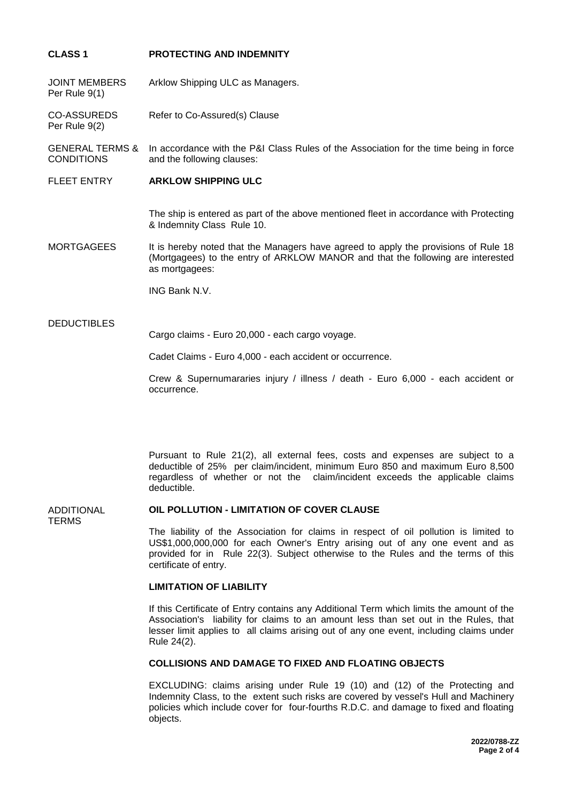### **CLASS 1 PROTECTING AND INDEMNITY**

JOINT MEMBERS Per Rule 9(1) Arklow Shipping ULC as Managers.

CO-ASSUREDS Per Rule 9(2) Refer to Co-Assured(s) Clause

GENERAL TERMS & **CONDITIONS** In accordance with the P&I Class Rules of the Association for the time being in force and the following clauses:

#### FLEET ENTRY **ARKLOW SHIPPING ULC**

The ship is entered as part of the above mentioned fleet in accordance with Protecting & Indemnity Class Rule 10.

MORTGAGEES It is hereby noted that the Managers have agreed to apply the provisions of Rule 18 (Mortgagees) to the entry of ARKLOW MANOR and that the following are interested as mortgagees:

ING Bank N.V.

#### DEDUCTIBLES

Cargo claims - Euro 20,000 - each cargo voyage.

Cadet Claims - Euro 4,000 - each accident or occurrence.

Crew & Supernumararies injury / illness / death - Euro 6,000 - each accident or occurrence.

Pursuant to Rule 21(2), all external fees, costs and expenses are subject to a deductible of 25% per claim/incident, minimum Euro 850 and maximum Euro 8,500 regardless of whether or not the claim/incident exceeds the applicable claims deductible.

#### ADDITIONAL **OIL POLLUTION - LIMITATION OF COVER CLAUSE**

TERMS

The liability of the Association for claims in respect of oil pollution is limited to US\$1,000,000,000 for each Owner's Entry arising out of any one event and as provided for in Rule 22(3). Subject otherwise to the Rules and the terms of this certificate of entry.

#### **LIMITATION OF LIABILITY**

If this Certificate of Entry contains any Additional Term which limits the amount of the Association's liability for claims to an amount less than set out in the Rules, that lesser limit applies to all claims arising out of any one event, including claims under Rule 24(2).

## **COLLISIONS AND DAMAGE TO FIXED AND FLOATING OBJECTS**

EXCLUDING: claims arising under Rule 19 (10) and (12) of the Protecting and Indemnity Class, to the extent such risks are covered by vessel's Hull and Machinery policies which include cover for four-fourths R.D.C. and damage to fixed and floating objects.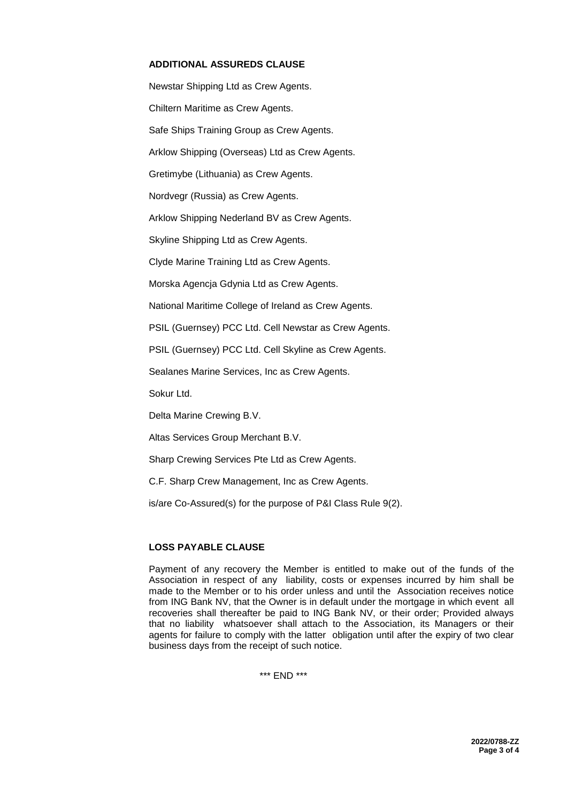### **ADDITIONAL ASSUREDS CLAUSE**

Newstar Shipping Ltd as Crew Agents. Chiltern Maritime as Crew Agents. Safe Ships Training Group as Crew Agents. Arklow Shipping (Overseas) Ltd as Crew Agents. Gretimybe (Lithuania) as Crew Agents. Nordvegr (Russia) as Crew Agents. Arklow Shipping Nederland BV as Crew Agents. Skyline Shipping Ltd as Crew Agents. Clyde Marine Training Ltd as Crew Agents. Morska Agencja Gdynia Ltd as Crew Agents. National Maritime College of Ireland as Crew Agents. PSIL (Guernsey) PCC Ltd. Cell Newstar as Crew Agents. PSIL (Guernsey) PCC Ltd. Cell Skyline as Crew Agents. Sealanes Marine Services, Inc as Crew Agents.

Sokur Ltd.

Delta Marine Crewing B.V.

Altas Services Group Merchant B.V.

Sharp Crewing Services Pte Ltd as Crew Agents.

C.F. Sharp Crew Management, Inc as Crew Agents.

is/are Co-Assured(s) for the purpose of P&I Class Rule 9(2).

#### **LOSS PAYABLE CLAUSE**

Payment of any recovery the Member is entitled to make out of the funds of the Association in respect of any liability, costs or expenses incurred by him shall be made to the Member or to his order unless and until the Association receives notice from ING Bank NV, that the Owner is in default under the mortgage in which event all recoveries shall thereafter be paid to ING Bank NV, or their order; Provided always that no liability whatsoever shall attach to the Association, its Managers or their agents for failure to comply with the latter obligation until after the expiry of two clear business days from the receipt of such notice.

\*\*\* END \*\*\*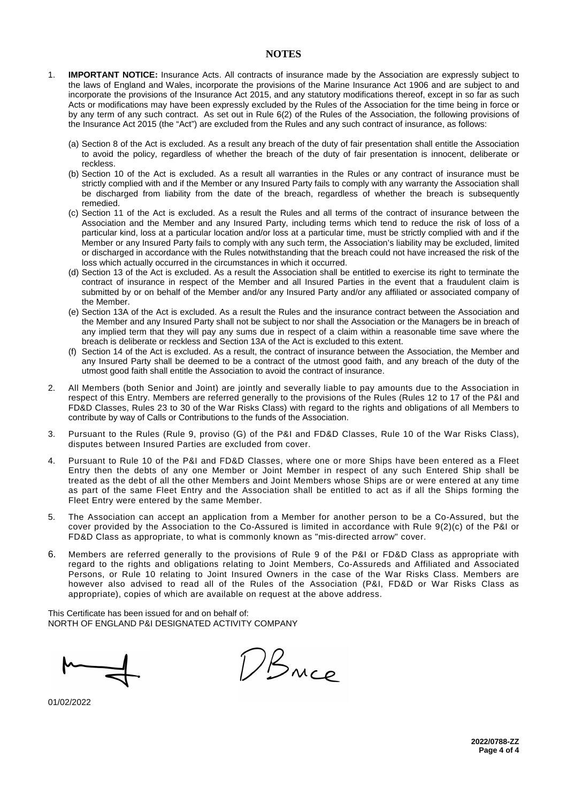#### **NOTES**

- 1. **IMPORTANT NOTICE:** Insurance Acts. All contracts of insurance made by the Association are expressly subject to the laws of England and Wales, incorporate the provisions of the Marine Insurance Act 1906 and are subject to and incorporate the provisions of the Insurance Act 2015, and any statutory modifications thereof, except in so far as such Acts or modifications may have been expressly excluded by the Rules of the Association for the time being in force or by any term of any such contract. As set out in Rule 6(2) of the Rules of the Association, the following provisions of the Insurance Act 2015 (the "Act") are excluded from the Rules and any such contract of insurance, as follows:
	- (a) Section 8 of the Act is excluded. As a result any breach of the duty of fair presentation shall entitle the Association to avoid the policy, regardless of whether the breach of the duty of fair presentation is innocent, deliberate or reckless.
	- (b) Section 10 of the Act is excluded. As a result all warranties in the Rules or any contract of insurance must be strictly complied with and if the Member or any Insured Party fails to comply with any warranty the Association shall be discharged from liability from the date of the breach, regardless of whether the breach is subsequently remedied.
	- (c) Section 11 of the Act is excluded. As a result the Rules and all terms of the contract of insurance between the Association and the Member and any Insured Party, including terms which tend to reduce the risk of loss of a particular kind, loss at a particular location and/or loss at a particular time, must be strictly complied with and if the Member or any Insured Party fails to comply with any such term, the Association's liability may be excluded, limited or discharged in accordance with the Rules notwithstanding that the breach could not have increased the risk of the loss which actually occurred in the circumstances in which it occurred.
	- (d) Section 13 of the Act is excluded. As a result the Association shall be entitled to exercise its right to terminate the contract of insurance in respect of the Member and all Insured Parties in the event that a fraudulent claim is submitted by or on behalf of the Member and/or any Insured Party and/or any affiliated or associated company of the Member.
	- (e) Section 13A of the Act is excluded. As a result the Rules and the insurance contract between the Association and the Member and any Insured Party shall not be subject to nor shall the Association or the Managers be in breach of any implied term that they will pay any sums due in respect of a claim within a reasonable time save where the breach is deliberate or reckless and Section 13A of the Act is excluded to this extent.
	- (f) Section 14 of the Act is excluded. As a result, the contract of insurance between the Association, the Member and any Insured Party shall be deemed to be a contract of the utmost good faith, and any breach of the duty of the utmost good faith shall entitle the Association to avoid the contract of insurance.
- 2. All Members (both Senior and Joint) are jointly and severally liable to pay amounts due to the Association in respect of this Entry. Members are referred generally to the provisions of the Rules (Rules 12 to 17 of the P&I and FD&D Classes, Rules 23 to 30 of the War Risks Class) with regard to the rights and obligations of all Members to contribute by way of Calls or Contributions to the funds of the Association.
- 3. Pursuant to the Rules (Rule 9, proviso (G) of the P&I and FD&D Classes, Rule 10 of the War Risks Class), disputes between Insured Parties are excluded from cover.
- 4. Pursuant to Rule 10 of the P&I and FD&D Classes, where one or more Ships have been entered as a Fleet Entry then the debts of any one Member or Joint Member in respect of any such Entered Ship shall be treated as the debt of all the other Members and Joint Members whose Ships are or were entered at any time as part of the same Fleet Entry and the Association shall be entitled to act as if all the Ships forming the Fleet Entry were entered by the same Member.
- 5. The Association can accept an application from a Member for another person to be a Co-Assured, but the cover provided by the Association to the Co-Assured is limited in accordance with Rule 9(2)(c) of the P&I or FD&D Class as appropriate, to what is commonly known as "mis-directed arrow" cover.
- 6. Members are referred generally to the provisions of Rule 9 of the P&I or FD&D Class as appropriate with regard to the rights and obligations relating to Joint Members, Co-Assureds and Affiliated and Associated Persons, or Rule 10 relating to Joint Insured Owners in the case of the War Risks Class. Members are however also advised to read all of the Rules of the Association (P&I, FD&D or War Risks Class as appropriate), copies of which are available on request at the above address.

This Certificate has been issued for and on behalf of: NORTH OF ENGLAND P&I DESIGNATED ACTIVITY COMPANY

DBNce

01/02/2022